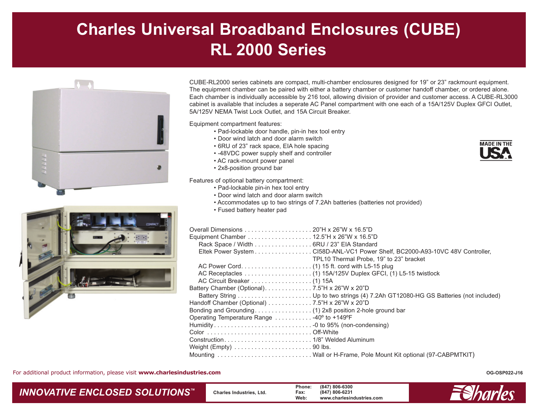## **Charles Universal Broadband Enclosures (CUBE) RL 2000 Series**



CUBE-RL2000 series cabinets are compact, multi-chamber enclosures designed for 19" or 23" rackmount equipment. The equipment chamber can be paired with either a battery chamber or customer handoff chamber, or ordered alone. Each chamber is individually accessible by 216 tool, allowing division of provider and customer access. A CUBE-RL3000 cabinet is available that includes a seperate AC Panel compartment with one each of a 15A/125V Duplex GFCI Outlet, 5A/125V NEMA Twist Lock Outlet, and 15A Circuit Breaker.

Equipment compartment features:

- Pad-lockable door handle, pin-in hex tool entry
- Door wind latch and door alarm switch
- 6RU of 23" rack space, EIA hole spacing
- -48VDC power supply shelf and controller
- AC rack-mount power panel
- 2x8-position ground bar

Features of optional battery compartment:

- Pad-lockable pin-in hex tool entry
- Door wind latch and door alarm switch
- Accommodates up to two strings of 7.2Ah batteries (batteries not provided)
- Fused battery heater pad

| Rack Space / Width 6RU / 23" EIA Standard                        |                                                                               |
|------------------------------------------------------------------|-------------------------------------------------------------------------------|
|                                                                  | Eltek Power System CI58D-ANL-VC1 Power Shelf, BC2000-A93-10VC 48V Controller, |
|                                                                  | TPL10 Thermal Probe, 19" to 23" bracket                                       |
|                                                                  |                                                                               |
|                                                                  |                                                                               |
| Battery Chamber (Optional). 7.5"H x 26"W x 20"D                  |                                                                               |
|                                                                  |                                                                               |
| Handoff Chamber (Optional) 7.5"H x 26"W x 20"D                   |                                                                               |
|                                                                  |                                                                               |
| Operating Temperature Range 40° to +149°F                        |                                                                               |
|                                                                  |                                                                               |
|                                                                  |                                                                               |
|                                                                  |                                                                               |
| Weight (Empty) $\dots\dots\dots\dots\dots\dots\dots\dots90$ lbs. |                                                                               |
|                                                                  | Mounting  Wall or H-Frame, Pole Mount Kit optional (97-CABPMTKIT)             |

For additional product information, please visit **www.charlesindustries.com**

## *INNOVATIVE ENCLOSED SOLUTIONS ™*

 **Charles Industries, Ltd. Phone: (847) 806-6300 Fax: (847) 806-6231 Web: www.charlesindustries.com**



**OG-OSP022-J16**